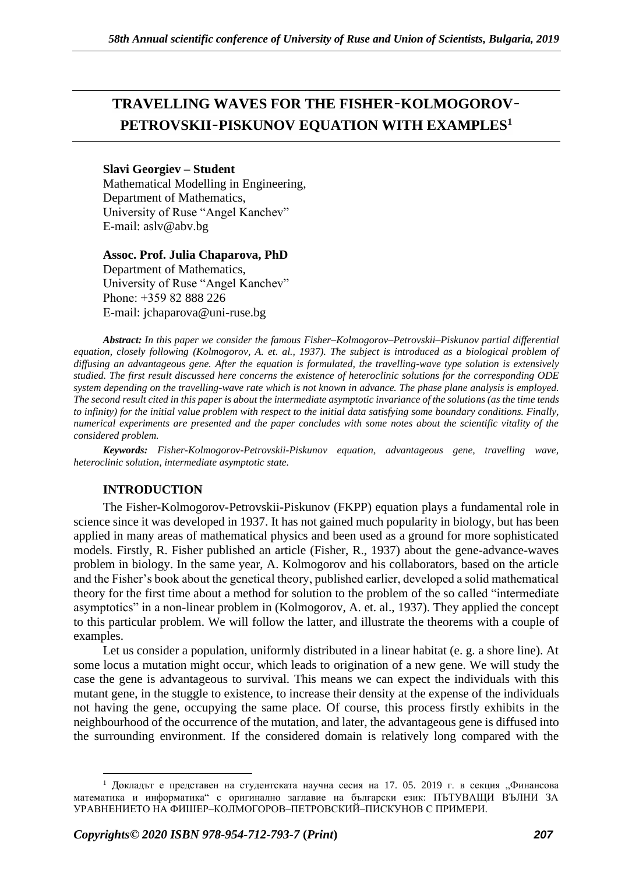# **TRAVELLING WAVES FOR THE FISHER**–**KOLMOGOROV**– **PETROVSKII**–**PISKUNOV EQUATION WITH EXAMPLES<sup>1</sup>**

# **Slavi Georgiev – Student**

Mathematical Modelling in Engineering, Department of Mathematics, University of Ruse "Angel Kanchev" E-mail: [aslv@abv.bg](mailto:aslv@abv.bg)

# **Assoc. Prof. Julia Chaparova, PhD**

Department of Mathematics, University of Ruse "Angel Kanchev" Рhone: +359 82 888 226 Е-mail: [jchaparova@uni-ruse.bg](mailto:jchaparova@uni-ruse.bg)

*Abstract: In this paper we consider the famous Fisher–Kolmogorov–Petrovskii–Piskunov partial differential*  equation, closely following (Kolmogorov, A. et. al., 1937). The subject is introduced as a biological problem of *diffusing an advantageous gene. After the equation is formulated, the travelling-wave type solution is extensively studied. The first result discussed here concerns the existence of heteroclinic solutions for the corresponding ODE system depending on the travelling-wave rate which is not known in advance. The phase plane analysis is employed. The second result cited in this paper is about the intermediate asymptotic invariance of the solutions (as the time tends to infinity) for the initial value problem with respect to the initial data satisfying some boundary conditions. Finally, numerical experiments are presented and the paper concludes with some notes about the scientific vitality of the considered problem.*

*Keywords: Fisher-Kolmogorov-Petrovskii-Piskunov equation, advantageous gene, travelling wave, heteroclinic solution, intermediate asymptotic state.*

# **INTRODUCTION**

The Fisher-Kolmogorov-Petrovskii-Piskunov (FKPP) equation plays a fundamental role in science since it was developed in 1937. It has not gained much popularity in biology, but has been applied in many areas of mathematical physics and been used as a ground for more sophisticated models. Firstly, R. Fisher published an article (Fisher, R., 1937) about the gene-advance-waves problem in biology. In the same year, A. Kolmogorov and his collaborators, based on the article and the Fisher's book about the genetical theory, published earlier, developed a solid mathematical theory for the first time about a method for solution to the problem of the so called "intermediate asymptotics" in a non-linear problem in (Kolmogorov, A. et. al., 1937). They applied the concept to this particular problem. We will follow the latter, and illustrate the theorems with a couple of examples.

Let us consider a population, uniformly distributed in a linear habitat (e. g. a shore line). At some locus a mutation might occur, which leads to origination of a new gene. We will study the case the gene is advantageous to survival. This means we can expect the individuals with this mutant gene, in the stuggle to existence, to increase their density at the expense of the individuals not having the gene, occupying the same place. Of course, this process firstly exhibits in the neighbourhood of the occurrence of the mutation, and later, the advantageous gene is diffused into the surrounding environment. If the considered domain is relatively long compared with the

<sup>&</sup>lt;sup>1</sup> Докладът е представен на студентската научна сесия на 17. 05. 2019 г. в секция "Финансова математика и информатика" с оригинално заглавие на български език: ПЪТУВАЩИ ВЪЛНИ ЗА УРАВНЕНИЕТО НА ФИШЕР–КОЛМОГОРОВ–ПЕТРОВСКИЙ–ПИСКУНОВ С ПРИМЕРИ.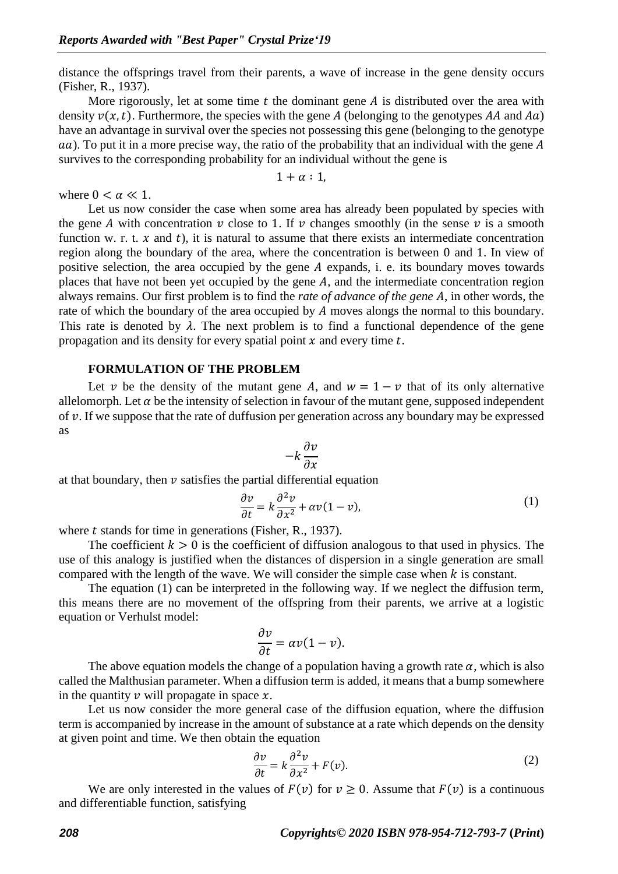distance the offsprings travel from their parents, a wave of increase in the gene density occurs (Fisher, R., 1937).

More rigorously, let at some time  $t$  the dominant gene  $A$  is distributed over the area with density  $v(x, t)$ . Furthermore, the species with the gene A (belonging to the genotypes AA and Aa) have an advantage in survival over the species not possessing this gene (belonging to the genotype  $aa$ ). To put it in a more precise way, the ratio of the probability that an individual with the gene  $\overline{A}$ survives to the corresponding probability for an individual without the gene is

$$
1+\alpha:1,
$$

where  $0 < \alpha \ll 1$ .

Let us now consider the case when some area has already been populated by species with the gene A with concentration  $\nu$  close to 1. If  $\nu$  changes smoothly (in the sense  $\nu$  is a smooth function w. r. t.  $x$  and  $t$ ), it is natural to assume that there exists an intermediate concentration region along the boundary of the area, where the concentration is between 0 and 1. In view of positive selection, the area occupied by the gene  $A$  expands, i. e. its boundary moves towards places that have not been yet occupied by the gene  $A$ , and the intermediate concentration region always remains. Our first problem is to find the *rate of advance of the gene A*, in other words, the rate of which the boundary of the area occupied by A moves alongs the normal to this boundary. This rate is denoted by  $\lambda$ . The next problem is to find a functional dependence of the gene propagation and its density for every spatial point  $x$  and every time  $t$ .

### **FORMULATION OF THE PROBLEM**

Let v be the density of the mutant gene A, and  $w = 1 - v$  that of its only alternative allelomorph. Let  $\alpha$  be the intensity of selection in favour of the mutant gene, supposed independent of  $\nu$ . If we suppose that the rate of duffusion per generation across any boundary may be expressed as

$$
-k\frac{\partial v}{\partial x}
$$

at that boundary, then  $\nu$  satisfies the partial differential equation

$$
\frac{\partial v}{\partial t} = k \frac{\partial^2 v}{\partial x^2} + \alpha v (1 - v),\tag{1}
$$

where  $t$  stands for time in generations (Fisher, R., 1937).

The coefficient  $k > 0$  is the coefficient of diffusion analogous to that used in physics. The use of this analogy is justified when the distances of dispersion in a single generation are small compared with the length of the wave. We will consider the simple case when  $k$  is constant.

The equation (1) can be interpreted in the following way. If we neglect the diffusion term, this means there are no movement of the offspring from their parents, we arrive at a logistic equation or Verhulst model:

$$
\frac{\partial v}{\partial t} = \alpha v (1 - v).
$$

The above equation models the change of a population having a growth rate  $\alpha$ , which is also called the Malthusian parameter. When a diffusion term is added, it means that a bump somewhere in the quantity  $\nu$  will propagate in space  $x$ .

Let us now consider the more general case of the diffusion equation, where the diffusion term is accompanied by increase in the amount of substance at a rate which depends on the density at given point and time. We then obtain the equation

$$
\frac{\partial v}{\partial t} = k \frac{\partial^2 v}{\partial x^2} + F(v). \tag{2}
$$

We are only interested in the values of  $F(v)$  for  $v \ge 0$ . Assume that  $F(v)$  is a continuous and differentiable function, satisfying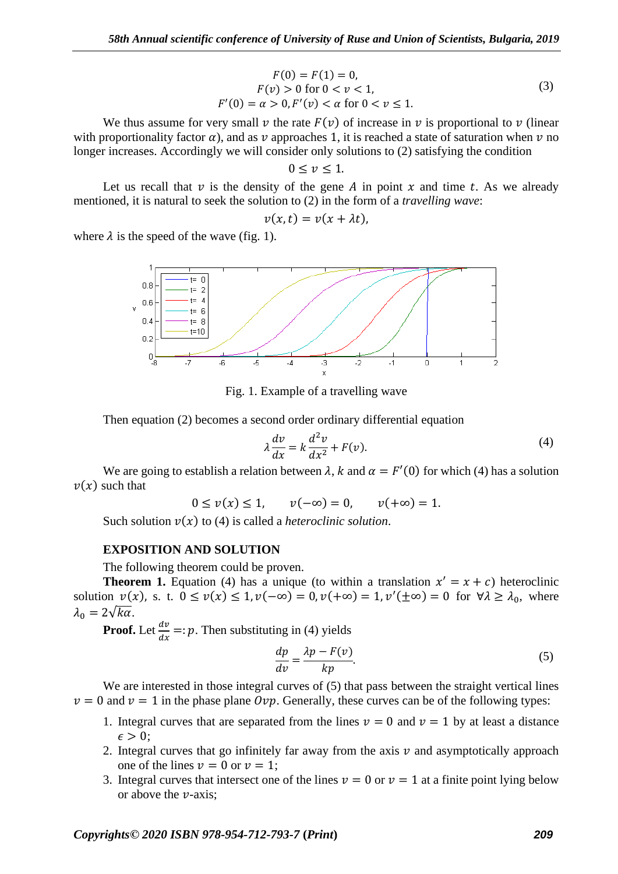$$
F(0) = F(1) = 0,
$$
  
\n
$$
F(v) > 0 \text{ for } 0 < v < 1,
$$
  
\n
$$
F'(0) = \alpha > 0, F'(v) < \alpha \text{ for } 0 < v \le 1.
$$
 (3)

We thus assume for very small  $\nu$  the rate  $F(\nu)$  of increase in  $\nu$  is proportional to  $\nu$  (linear with proportionality factor  $\alpha$ ), and as  $\nu$  approaches 1, it is reached a state of saturation when  $\nu$  no longer increases. Accordingly we will consider only solutions to (2) satisfying the condition

$$
0\leq \nu\leq 1.
$$

Let us recall that  $\nu$  is the density of the gene A in point  $x$  and time t. As we already mentioned, it is natural to seek the solution to (2) in the form of a *travelling wave*:

$$
v(x,t)=v(x+\lambda t),
$$

where  $\lambda$  is the speed of the wave (fig. 1).



Fig. 1. Example of a travelling wave

Then equation (2) becomes a second order ordinary differential equation

$$
\lambda \frac{dv}{dx} = k \frac{d^2 v}{dx^2} + F(v). \tag{4}
$$

We are going to establish a relation between  $\lambda$ , k and  $\alpha = F'(0)$  for which (4) has a solution  $v(x)$  such that

$$
0 \le v(x) \le 1, \qquad v(-\infty) = 0, \qquad v(+\infty) = 1.
$$

Such solution  $v(x)$  to (4) is called a *heteroclinic solution*.

#### **EXPOSITION AND SOLUTION**

The following theorem could be proven.

**Theorem 1.** Equation (4) has a unique (to within a translation  $x' = x + c$ ) heteroclinic solution  $v(x)$ , s. t.  $0 \le v(x) \le 1$ ,  $v(-\infty) = 0$ ,  $v(+\infty) = 1$ ,  $v'(\pm \infty) = 0$  for  $\forall \lambda \ge \lambda_0$ , where  $\lambda_0 = 2\sqrt{k\alpha}$ .

**Proof.** Let  $\frac{dv}{dx} = p$ . Then substituting in (4) yields

$$
\frac{dp}{dv} = \frac{\lambda p - F(v)}{kp}.\tag{5}
$$

We are interested in those integral curves of  $(5)$  that pass between the straight vertical lines  $v = 0$  and  $v = 1$  in the phase plane  $Ovp$ . Generally, these curves can be of the following types:

- 1. Integral curves that are separated from the lines  $v = 0$  and  $v = 1$  by at least a distance  $\epsilon > 0$ :
- 2. Integral curves that go infinitely far away from the axis  $\nu$  and asymptotically approach one of the lines  $v = 0$  or  $v = 1$ ;
- 3. Integral curves that intersect one of the lines  $v = 0$  or  $v = 1$  at a finite point lying below or above the  $\nu$ -axis;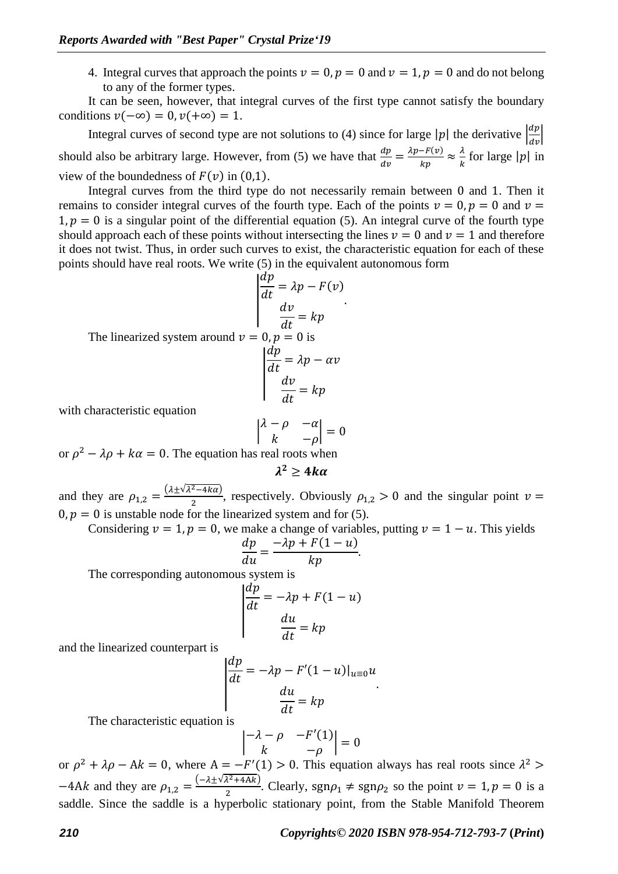4. Integral curves that approach the points  $v = 0$ ,  $p = 0$  and  $v = 1$ ,  $p = 0$  and do not belong to any of the former types.

It can be seen, however, that integral curves of the first type cannot satisfy the boundary conditions  $v(-\infty) = 0$ ,  $v(+\infty) = 1$ .

Integral curves of second type are not solutions to (4) since for large |p| the derivative  $\frac{dp}{dr}$ should also be arbitrary large. However, from (5) we have that  $\frac{dp}{dv} = \frac{\lambda p - F(v)}{kp}$  $\frac{-F(v)}{kp} \approx \frac{\lambda}{k}$  $\frac{\pi}{k}$  for large |p| in view of the boundedness of  $F(v)$  in (0,1).

Integral curves from the third type do not necessarily remain between 0 and 1. Then it remains to consider integral curves of the fourth type. Each of the points  $v = 0$ ,  $p = 0$  and  $v =$  $1, p = 0$  is a singular point of the differential equation (5). An integral curve of the fourth type should approach each of these points without intersecting the lines  $v = 0$  and  $v = 1$  and therefore it does not twist. Thus, in order such curves to exist, the characteristic equation for each of these points should have real roots. We write (5) in the equivalent autonomous form

The linearized system around 
$$
v = 0
$$
,  $p = 0$  is  
\n
$$
\frac{dp}{dt} = kp
$$
\n
$$
v = 0, p = 0
$$
\nis  
\n
$$
\frac{dp}{dt} = Ap - av
$$
\n
$$
\frac{dv}{dt} = kp
$$

with characteristic equation

$$
\begin{vmatrix}\n\lambda - \rho & -\alpha \\
k & -\rho\n\end{vmatrix} = 0
$$

|

or  $\rho^2 - \lambda \rho + k\alpha = 0$ . The equation has real roots when

$$
\lambda^2\geq 4k\alpha
$$

and they are  $\rho_{1,2} = \frac{(\lambda \pm \sqrt{\lambda^2 - 4k\alpha})}{2}$  $\frac{1}{2}$ , respectively. Obviously  $\rho_{1,2} > 0$  and the singular point  $\nu =$  $0, p = 0$  is unstable node for the linearized system and for (5).

Considering  $v = 1$ ,  $p = 0$ , we make a change of variables, putting  $v = 1 - u$ . This yields

$$
\frac{dp}{du} = \frac{-\lambda p + F(1 - u)}{kp}.
$$

The corresponding autonomous system is

$$
\frac{d\dot{p}}{dt} = -\lambda p + F(1 - u)
$$

$$
\frac{du}{dt} = kp
$$

and the linearized counterpart is

$$
\left|\frac{dp}{dt} = -\lambda p - F'(1-u)\right|_{u=0} u
$$

$$
\frac{du}{dt} = kp
$$

The characteristic equation is

$$
\begin{vmatrix} -\lambda - \rho & -F'(1) \\ k & -\rho \end{vmatrix} = 0
$$

|

or  $\rho^2 + \lambda \rho - Ak = 0$ , where  $A = -F'(1) > 0$ . This equation always has real roots since  $\lambda^2$  $-4$ Ak and they are  $\rho_{1,2} = \frac{(-\lambda \pm \sqrt{\lambda^2 + 4Ak})}{2}$  $\frac{\pi}{2}$  Clearly, sgn $\rho_1 \neq \text{sgn}\rho_2$  so the point  $v = 1, p = 0$  is a saddle. Since the saddle is a hyperbolic stationary point, from the Stable Manifold Theorem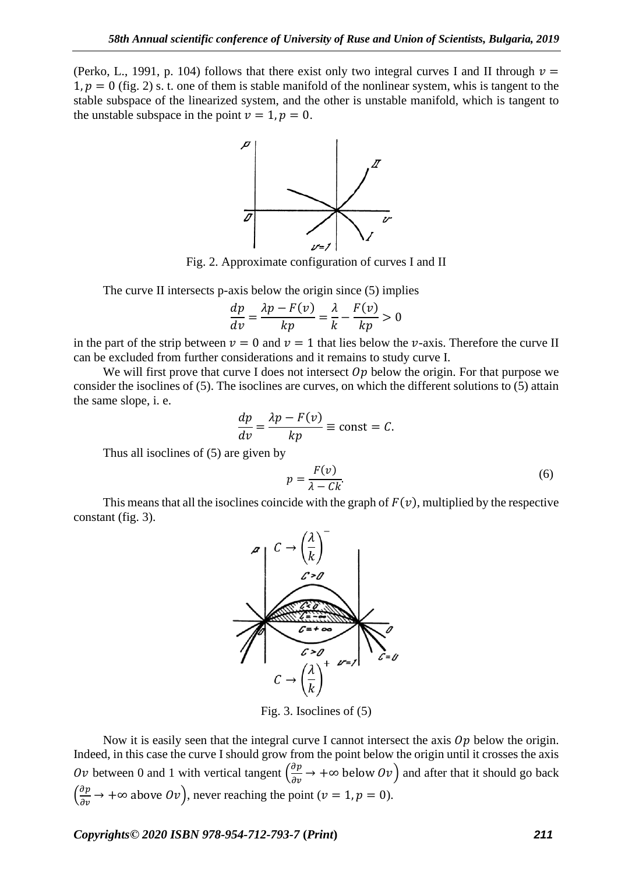(Perko, L., 1991, p. 104) follows that there exist only two integral curves I and II through  $v =$  $1, p = 0$  (fig. 2) s. t. one of them is stable manifold of the nonlinear system, whis is tangent to the stable subspace of the linearized system, and the other is unstable manifold, which is tangent to the unstable subspace in the point  $v = 1, p = 0$ .



Fig. 2. Approximate configuration of curves I and II

The curve II intersects p-axis below the origin since (5) implies

$$
\frac{dp}{dv} = \frac{\lambda p - F(v)}{kp} = \frac{\lambda}{k} - \frac{F(v)}{kp} > 0
$$

in the part of the strip between  $v = 0$  and  $v = 1$  that lies below the *v*-axis. Therefore the curve II can be excluded from further considerations and it remains to study curve I.

We will first prove that curve I does not intersect  $\Omega p$  below the origin. For that purpose we consider the isoclines of (5). The isoclines are curves, on which the different solutions to (5) attain the same slope, i. e.

$$
\frac{dp}{dv} = \frac{\lambda p - F(v)}{kp} \equiv \text{const} = C.
$$

Thus all isoclines of (5) are given by

$$
p = \frac{F(v)}{\lambda - Ck}.\tag{6}
$$

This means that all the isoclines coincide with the graph of  $F(v)$ , multiplied by the respective constant (fig. 3).



Fig. 3. Isoclines of (5)

Now it is easily seen that the integral curve I cannot intersect the axis  $Op$  below the origin. Indeed, in this case the curve I should grow from the point below the origin until it crosses the axis Ov between 0 and 1 with vertical tangent  $\left(\frac{\partial p}{\partial x}\right)$  $\frac{\partial p}{\partial v} \rightarrow +\infty$  below  $Ov$ ) and after that it should go back  $\left(\frac{\partial p}{\partial x}\right)$  $\frac{\partial p}{\partial v} \to +\infty$  above  $Ov$ , never reaching the point ( $v = 1, p = 0$ ).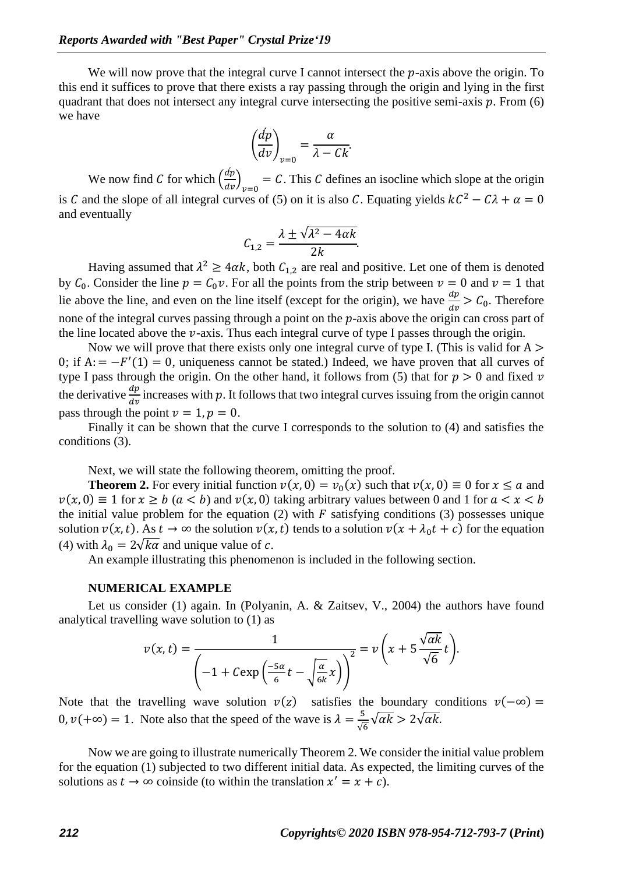We will now prove that the integral curve I cannot intersect the  $p$ -axis above the origin. To this end it suffices to prove that there exists a ray passing through the origin and lying in the first quadrant that does not intersect any integral curve intersecting the positive semi-axis  $p$ . From (6) we have

$$
\left(\frac{dp}{dv}\right)_{v=0} = \frac{\alpha}{\lambda - Ck}.
$$

We now find C for which  $\left(\frac{dp}{dv}\right)_{v=0} = C$ . This C defines an isocline which slope at the origin is C and the slope of all integral curves of (5) on it is also C. Equating yields  $kC^2 - C\lambda + \alpha = 0$ and eventually

$$
C_{1,2} = \frac{\lambda \pm \sqrt{\lambda^2 - 4\alpha k}}{2k}.
$$

Having assumed that  $\lambda^2 \ge 4\alpha k$ , both  $C_{1,2}$  are real and positive. Let one of them is denoted by  $C_0$ . Consider the line  $p = C_0 v$ . For all the points from the strip between  $v = 0$  and  $v = 1$  that lie above the line, and even on the line itself (except for the origin), we have  $\frac{dp}{dv} > C_0$ . Therefore none of the integral curves passing through a point on the  $p$ -axis above the origin can cross part of the line located above the  $\nu$ -axis. Thus each integral curve of type I passes through the origin.

Now we will prove that there exists only one integral curve of type I. (This is valid for  $A >$ 0; if  $A = -F'(1) = 0$ , uniqueness cannot be stated.) Indeed, we have proven that all curves of type I pass through the origin. On the other hand, it follows from (5) that for  $p > 0$  and fixed v the derivative  $\frac{dp}{dv}$  increases with p. It follows that two integral curves issuing from the origin cannot pass through the point  $v = 1$ ,  $p = 0$ .

Finally it can be shown that the curve I corresponds to the solution to (4) and satisfies the conditions (3).

Next, we will state the following theorem, omitting the proof.

**Theorem 2.** For every initial function  $v(x, 0) = v_0(x)$  such that  $v(x, 0) \equiv 0$  for  $x \le a$  and  $v(x, 0) \equiv 1$  for  $x \ge b$  ( $a < b$ ) and  $v(x, 0)$  taking arbitrary values between 0 and 1 for  $a < x < b$ the initial value problem for the equation (2) with  $F$  satisfying conditions (3) possesses unique solution  $v(x, t)$ . As  $t \to \infty$  the solution  $v(x, t)$  tends to a solution  $v(x + \lambda_0 t + c)$  for the equation (4) with  $\lambda_0 = 2\sqrt{k\alpha}$  and unique value of c.

An example illustrating this phenomenon is included in the following section.

#### **NUMERICAL EXAMPLE**

Let us consider (1) again. In (Polyanin, A. & Zaitsey, V., 2004) the authors have found analytical travelling wave solution to (1) as

$$
v(x,t) = \frac{1}{\left(-1 + C \exp\left(\frac{-5\alpha}{6}t - \sqrt{\frac{\alpha}{6k}}x\right)\right)^2} = v\left(x + 5\frac{\sqrt{\alpha k}}{\sqrt{6}}t\right).
$$

Note that the travelling wave solution  $v(z)$  satisfies the boundary conditions  $v(-\infty) =$  $0, v(+\infty) = 1$ . Note also that the speed of the wave is  $\lambda = \frac{5}{6}$  $\frac{3}{\sqrt{6}}\sqrt{\alpha k} > 2\sqrt{\alpha k}.$ 

Now we are going to illustrate numerically Theorem 2. We consider the initial value problem for the equation (1) subjected to two different initial data. As expected, the limiting curves of the solutions as  $t \to \infty$  coinside (to within the translation  $x' = x + c$ ).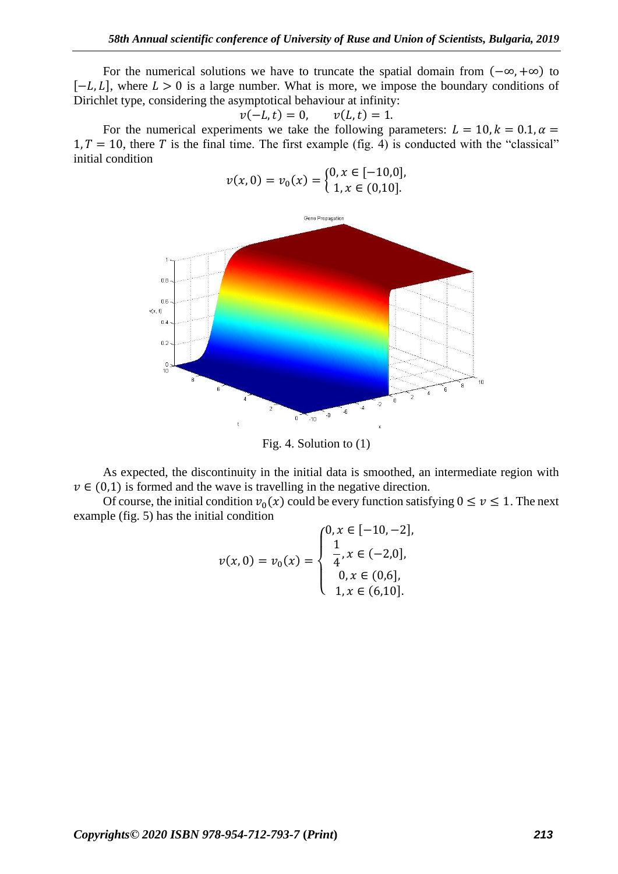For the numerical solutions we have to truncate the spatial domain from  $(-\infty, +\infty)$  to  $[-L, L]$ , where  $L > 0$  is a large number. What is more, we impose the boundary conditions of Dirichlet type, considering the asymptotical behaviour at infinity:

$$
v(-L, t) = 0,
$$
  $v(L, t) = 1.$ 

For the numerical experiments we take the following parameters:  $L = 10$ ,  $k = 0.1$ ,  $\alpha =$  $1, T = 10$ , there T is the final time. The first example (fig. 4) is conducted with the "classical" initial condition

$$
v(x, 0) = v_0(x) = \begin{cases} 0, x \in [-10, 0], \\ 1, x \in (0, 10]. \end{cases}
$$



Fig. 4. Solution to (1)

As expected, the discontinuity in the initial data is smoothed, an intermediate region with  $v \in (0,1)$  is formed and the wave is travelling in the negative direction.

Of course, the initial condition  $v_0(x)$  could be every function satisfying  $0 \le v \le 1$ . The next example (fig. 5) has the initial condition

$$
v(x, 0) = v_0(x) = \begin{cases} 0, x \in [-10, -2], \\ \frac{1}{4}, x \in (-2, 0], \\ 0, x \in (0, 6], \\ 1, x \in (6, 10]. \end{cases}
$$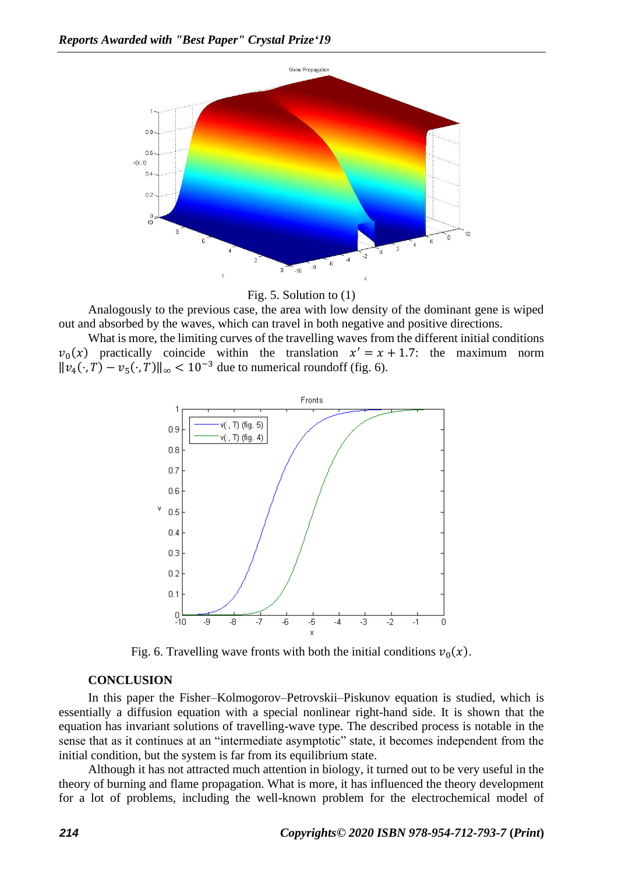

Fig. 5. Solution to (1)

Analogously to the previous case, the area with low density of the dominant gene is wiped out and absorbed by the waves, which can travel in both negative and positive directions.

What is more, the limiting curves of the travelling waves from the different initial conditions  $v_0(x)$  practically coincide within the translation  $x' = x + 1.7$ : the maximum norm  $||v_4(\cdot, T) - v_5(\cdot, T)||_{\infty} < 10^{-3}$  due to numerical roundoff (fig. 6).



Fig. 6. Travelling wave fronts with both the initial conditions  $v_0(x)$ .

### **CONCLUSION**

In this paper the Fisher–Kolmogorov–Petrovskii–Piskunov equation is studied, which is essentially a diffusion equation with a special nonlinear right-hand side. It is shown that the equation has invariant solutions of travelling-wave type. The described process is notable in the sense that as it continues at an "intermediate asymptotic" state, it becomes independent from the initial condition, but the system is far from its equilibrium state.

Although it has not attracted much attention in biology, it turned out to be very useful in the theory of burning and flame propagation. What is more, it has influenced the theory development for a lot of problems, including the well-known problem for the electrochemical model of